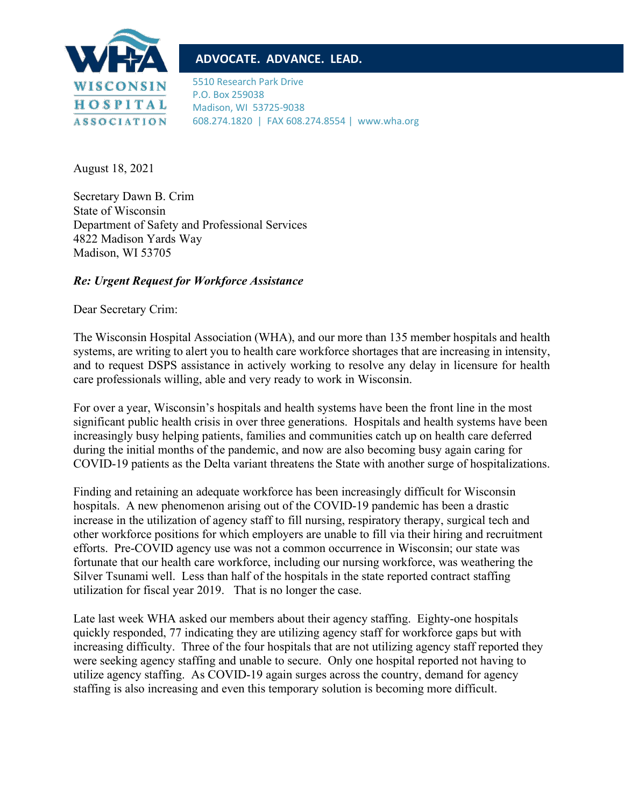

## **ADVOCATE. ADVANCE. LEAD.**

5510 Research Park Drive P.O. Box 259038 Madison, WI 53725-9038 608.274.1820 | FAX 608.274.8554 | www.wha.org

August 18, 2021

Secretary Dawn B. Crim State of Wisconsin Department of Safety and Professional Services 4822 Madison Yards Way Madison, WI 53705

## *Re: Urgent Request for Workforce Assistance*

Dear Secretary Crim:

The Wisconsin Hospital Association (WHA), and our more than 135 member hospitals and health systems, are writing to alert you to health care workforce shortages that are increasing in intensity, and to request DSPS assistance in actively working to resolve any delay in licensure for health care professionals willing, able and very ready to work in Wisconsin.

For over a year, Wisconsin's hospitals and health systems have been the front line in the most significant public health crisis in over three generations. Hospitals and health systems have been increasingly busy helping patients, families and communities catch up on health care deferred during the initial months of the pandemic, and now are also becoming busy again caring for COVID-19 patients as the Delta variant threatens the State with another surge of hospitalizations.

Finding and retaining an adequate workforce has been increasingly difficult for Wisconsin hospitals. A new phenomenon arising out of the COVID-19 pandemic has been a drastic increase in the utilization of agency staff to fill nursing, respiratory therapy, surgical tech and other workforce positions for which employers are unable to fill via their hiring and recruitment efforts. Pre-COVID agency use was not a common occurrence in Wisconsin; our state was fortunate that our health care workforce, including our nursing workforce, was weathering the Silver Tsunami well. Less than half of the hospitals in the state reported contract staffing utilization for fiscal year 2019. That is no longer the case.

Late last week WHA asked our members about their agency staffing. Eighty-one hospitals quickly responded, 77 indicating they are utilizing agency staff for workforce gaps but with increasing difficulty. Three of the four hospitals that are not utilizing agency staff reported they were seeking agency staffing and unable to secure. Only one hospital reported not having to utilize agency staffing. As COVID-19 again surges across the country, demand for agency staffing is also increasing and even this temporary solution is becoming more difficult.